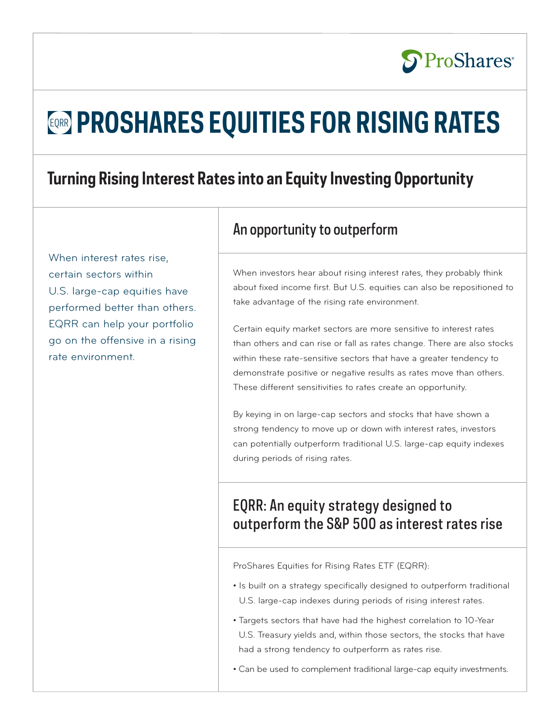# EQRR **PROSHARES EQUITIES FOR RISING RATES**

# **Turning Rising Interest Rates into an Equity Investing Opportunity**

When interest rates rise, certain sectors within U.S. large-cap equities have performed better than others. EQRR can help your portfolio go on the offensive in a rising rate environment.

### An opportunity to outperform

When investors hear about rising interest rates, they probably think about fixed income first. But U.S. equities can also be repositioned to take advantage of the rising rate environment.

**S**ProShares®

Certain equity market sectors are more sensitive to interest rates than others and can rise or fall as rates change. There are also stocks within these rate-sensitive sectors that have a greater tendency to demonstrate positive or negative results as rates move than others. These different sensitivities to rates create an opportunity.

By keying in on large-cap sectors and stocks that have shown a strong tendency to move up or down with interest rates, investors can potentially outperform traditional U.S. large-cap equity indexes during periods of rising rates.

# EQRR: An equity strategy designed to outperform the S&P 500 as interest rates rise

ProShares Equities for Rising Rates ETF (EQRR):

- Is built on a strategy specifically designed to outperform traditional U.S. large-cap indexes during periods of rising interest rates.
- Targets sectors that have had the highest correlation to 10-Year U.S. Treasury yields and, within those sectors, the stocks that have had a strong tendency to outperform as rates rise.
- Can be used to complement traditional large-cap equity investments.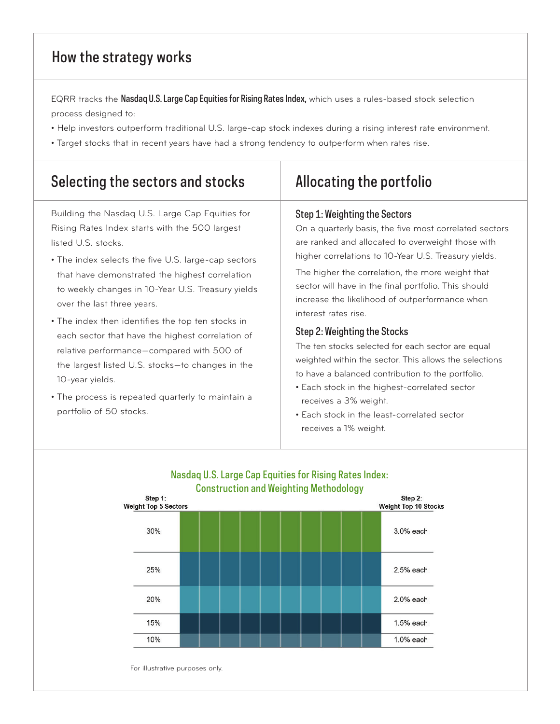# How the strategy works

EQRR tracks the Nasdaq U.S. Large Cap Equities for Rising Rates Index, which uses a rules-based stock selection process designed to:

- Help investors outperform traditional U.S. large-cap stock indexes during a rising interest rate environment.
- Target stocks that in recent years have had a strong tendency to outperform when rates rise.

| Selecting the sectors and stocks                                                                                                                                                                                                                                                                                                                                                                                                                                                                                                                                                                                                  | Allocating the portfolio                                                                                                                                                                                                                                                                                                                                                                                                                                                                                                                                                                                                                                                                                                                         |
|-----------------------------------------------------------------------------------------------------------------------------------------------------------------------------------------------------------------------------------------------------------------------------------------------------------------------------------------------------------------------------------------------------------------------------------------------------------------------------------------------------------------------------------------------------------------------------------------------------------------------------------|--------------------------------------------------------------------------------------------------------------------------------------------------------------------------------------------------------------------------------------------------------------------------------------------------------------------------------------------------------------------------------------------------------------------------------------------------------------------------------------------------------------------------------------------------------------------------------------------------------------------------------------------------------------------------------------------------------------------------------------------------|
| Building the Nasdaq U.S. Large Cap Equities for<br>Rising Rates Index starts with the 500 largest<br>listed U.S. stocks.<br>• The index selects the five U.S. large-cap sectors<br>that have demonstrated the highest correlation<br>to weekly changes in 10-Year U.S. Treasury yields<br>over the last three years.<br>• The index then identifies the top ten stocks in<br>each sector that have the highest correlation of<br>relative performance-compared with 500 of<br>the largest listed U.S. stocks-to changes in the<br>10-year yields.<br>• The process is repeated quarterly to maintain a<br>portfolio of 50 stocks. | Step 1: Weighting the Sectors<br>On a quarterly basis, the five most correlated sectors<br>are ranked and allocated to overweight those with<br>higher correlations to 10-Year U.S. Treasury yields.<br>The higher the correlation, the more weight that<br>sector will have in the final portfolio. This should<br>increase the likelihood of outperformance when<br>interest rates rise.<br>Step 2: Weighting the Stocks<br>The ten stocks selected for each sector are equal<br>weighted within the sector. This allows the selections<br>to have a balanced contribution to the portfolio.<br>• Each stock in the highest-correlated sector<br>receives a 3% weight.<br>• Each stock in the least-correlated sector<br>receives a 1% weight. |



# Nasdaq U.S. Large Cap Equities for Rising Rates Index:

For illustrative purposes only.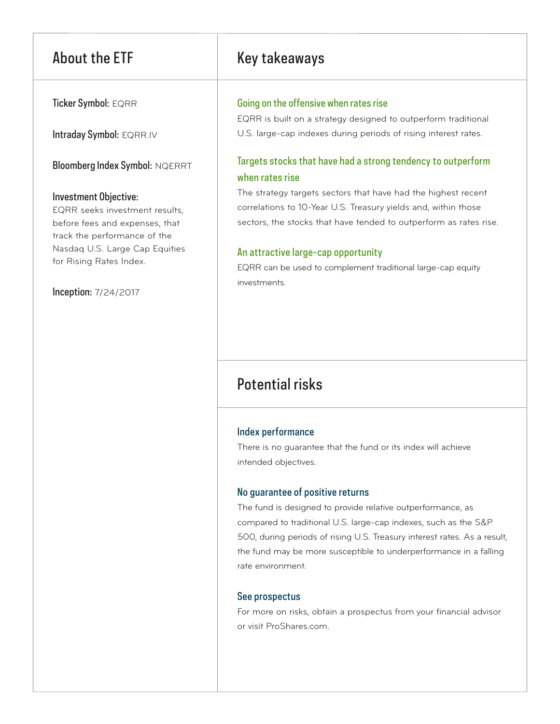Ticker Symbol: EQRR

Intraday Symbol: EQRR.IV

Bloomberg Index Symbol: NQERRT

#### Investment Objective:

EQRR seeks investment results, before fees and expenses, that track the performance of the Nasdaq U.S. Large Cap Equities for Rising Rates Index.

Inception: 7/24/2017

# About the ETF Key takeaways

#### Going on the offensive when rates rise

EQRR is built on a strategy designed to outperform traditional U.S. large-cap indexes during periods of rising interest rates.

### Targets stocks that have had a strong tendency to outperform when rates rise

The strategy targets sectors that have had the highest recent correlations to 10-Year U.S. Treasury yields and, within those sectors, the stocks that have tended to outperform as rates rise.

#### An attractive large-cap opportunity

EQRR can be used to complement traditional large-cap equity investments.

# Potential risks

#### Index performance

There is no guarantee that the fund or its index will achieve intended objectives.

#### No guarantee of positive returns

The fund is designed to provide relative outperformance, as compared to traditional U.S. large-cap indexes, such as the S&P 500, during periods of rising U.S. Treasury interest rates. As a result, the fund may be more susceptible to underperformance in a falling rate environment.

#### See prospectus

For more on risks, obtain a prospectus from your financial advisor or visit ProShares.com.